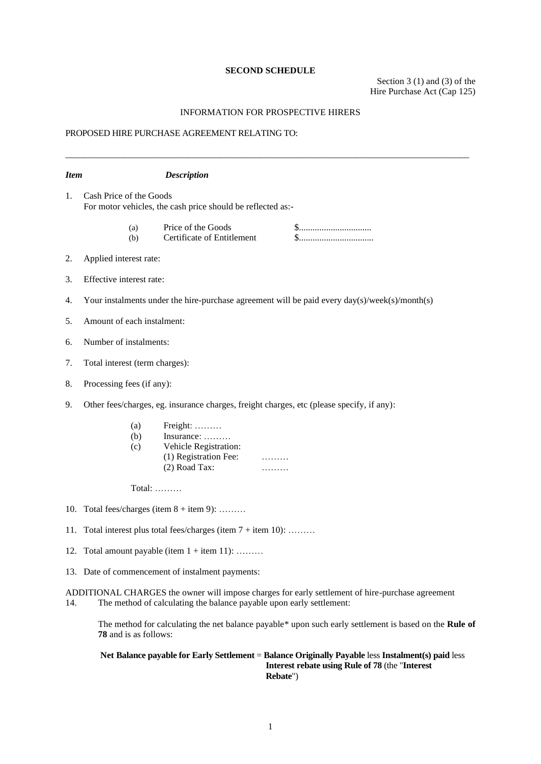### **SECOND SCHEDULE**

Section 3 (1) and (3) of the Hire Purchase Act (Cap 125)

### INFORMATION FOR PROSPECTIVE HIRERS

\_\_\_\_\_\_\_\_\_\_\_\_\_\_\_\_\_\_\_\_\_\_\_\_\_\_\_\_\_\_\_\_\_\_\_\_\_\_\_\_\_\_\_\_\_\_\_\_\_\_\_\_\_\_\_\_\_\_\_\_\_\_\_\_\_\_\_\_\_\_\_\_\_\_\_\_\_\_\_\_\_\_\_\_\_\_\_\_\_

# PROPOSED HIRE PURCHASE AGREEMENT RELATING TO:

| <b>Item</b>                                    |                                                                                               | <b>Description</b>                                                                        |                                                                                                        |
|------------------------------------------------|-----------------------------------------------------------------------------------------------|-------------------------------------------------------------------------------------------|--------------------------------------------------------------------------------------------------------|
| 1.                                             | Cash Price of the Goods<br>For motor vehicles, the cash price should be reflected as:-        |                                                                                           |                                                                                                        |
|                                                | (a)<br>(b)                                                                                    | Price of the Goods<br>Certificate of Entitlement                                          | \$<br>\$                                                                                               |
| 2.                                             | Applied interest rate:                                                                        |                                                                                           |                                                                                                        |
| 3.                                             | Effective interest rate:                                                                      |                                                                                           |                                                                                                        |
| 4.                                             | Your instalments under the hire-purchase agreement will be paid every day(s)/week(s)/month(s) |                                                                                           |                                                                                                        |
| 5.                                             | Amount of each instalment:                                                                    |                                                                                           |                                                                                                        |
| 6.                                             | Number of instalments:                                                                        |                                                                                           |                                                                                                        |
| 7.                                             | Total interest (term charges):                                                                |                                                                                           |                                                                                                        |
| 8.                                             | Processing fees (if any):                                                                     |                                                                                           |                                                                                                        |
| 9.                                             | Other fees/charges, eg. insurance charges, freight charges, etc (please specify, if any):     |                                                                                           |                                                                                                        |
|                                                | (a)<br>(b)<br>(c)                                                                             | Freight:<br>Insurance:<br>Vehicle Registration:<br>(1) Registration Fee:<br>(2) Road Tax: |                                                                                                        |
|                                                | Total: $\dots$                                                                                |                                                                                           |                                                                                                        |
|                                                | 10. Total fees/charges (item $8 +$ item 9):                                                   |                                                                                           |                                                                                                        |
| 11.                                            | Total interest plus total fees/charges (item $7 +$ item 10):                                  |                                                                                           |                                                                                                        |
| 12. Total amount payable (item $1 +$ item 11): |                                                                                               |                                                                                           |                                                                                                        |
|                                                |                                                                                               | 13. Date of commencement of instalment payments:                                          |                                                                                                        |
| 14.                                            |                                                                                               | The method of calculating the balance payable upon early settlement:                      | ADDITIONAL CHARGES the owner will impose charges for early settlement of hire-purchase agreement       |
|                                                | 78 and is as follows:                                                                         |                                                                                           | The method for calculating the net balance payable* upon such early settlement is based on the Rule of |
|                                                |                                                                                               |                                                                                           |                                                                                                        |

#### **Net Balance payable for Early Settlement** = **Balance Originally Payable** less **Instalment(s) paid** less **Interest rebate using Rule of 78** (the "**Interest Rebate**")